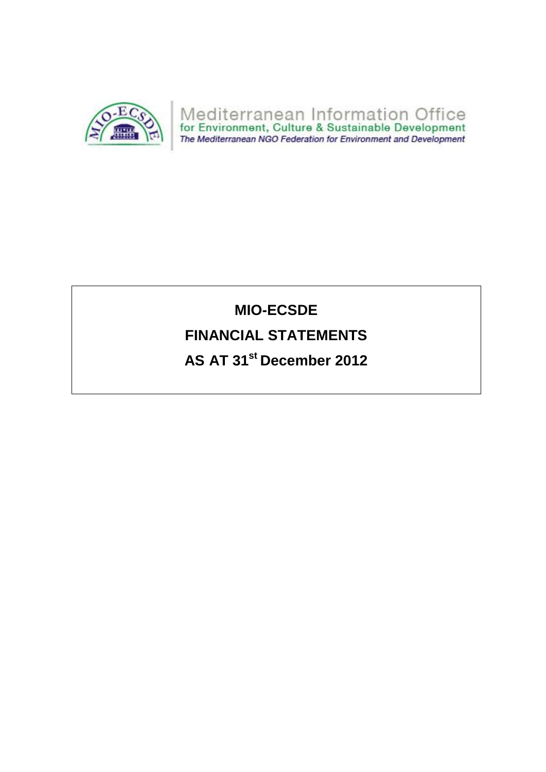

# **MIO-ECSDE**

## **FINANCIAL STATEMENTS**

**AS AT 31st December 2012**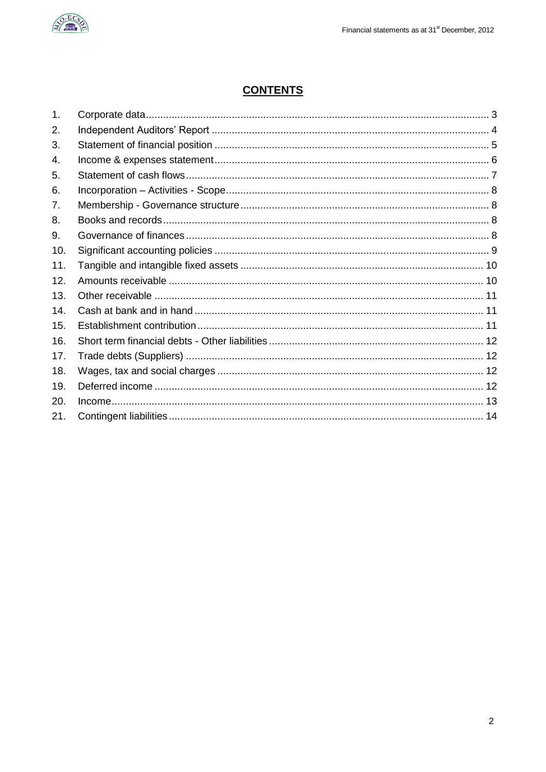

## **CONTENTS**

| 1.  |  |
|-----|--|
| 2.  |  |
| 3.  |  |
| 4.  |  |
| 5.  |  |
| 6.  |  |
| 7.  |  |
| 8.  |  |
| 9.  |  |
| 10. |  |
| 11. |  |
| 12. |  |
| 13. |  |
| 14. |  |
| 15. |  |
| 16. |  |
| 17. |  |
| 18. |  |
| 19. |  |
| 20. |  |
| 21. |  |
|     |  |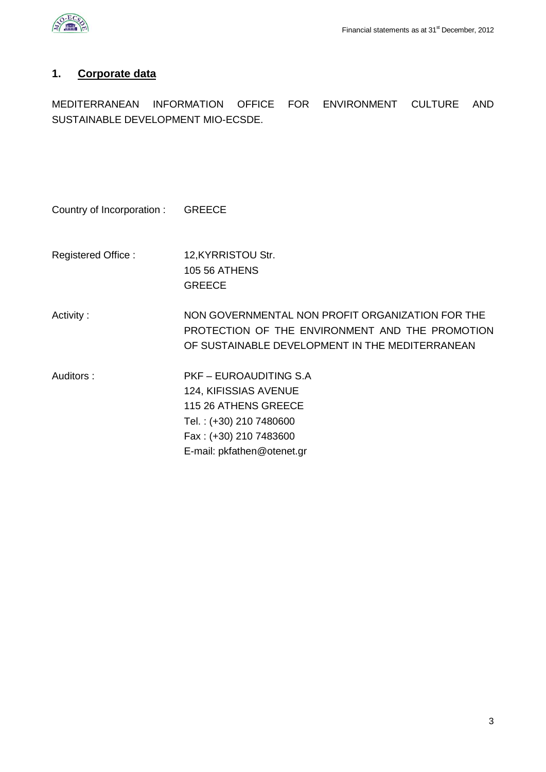

## <span id="page-2-0"></span>**1. Corporate data**

MEDITERRANEAN INFORMATION OFFICE FOR ENVIRONMENT CULTURE AND SUSTAINABLE DEVELOPMENT MIO-ECSDE.

| Country of Incorporation: | <b>GREECE</b>                                                                                                                                                     |
|---------------------------|-------------------------------------------------------------------------------------------------------------------------------------------------------------------|
| Registered Office:        | 12, KYRRISTOU Str.<br><b>105 56 ATHENS</b><br><b>GREECE</b>                                                                                                       |
| Activity:                 | NON GOVERNMENTAL NON PROFIT ORGANIZATION FOR THE<br>PROTECTION OF THE ENVIRONMENT AND THE PROMOTION<br>OF SUSTAINABLE DEVELOPMENT IN THE MEDITERRANEAN            |
| Auditors:                 | <b>PKF - EUROAUDITING S.A</b><br>124, KIFISSIAS AVENUE<br>115 26 ATHENS GREECE<br>Tel.: (+30) 210 7480600<br>Fax: (+30) 210 7483600<br>E-mail: pkfathen@otenet.gr |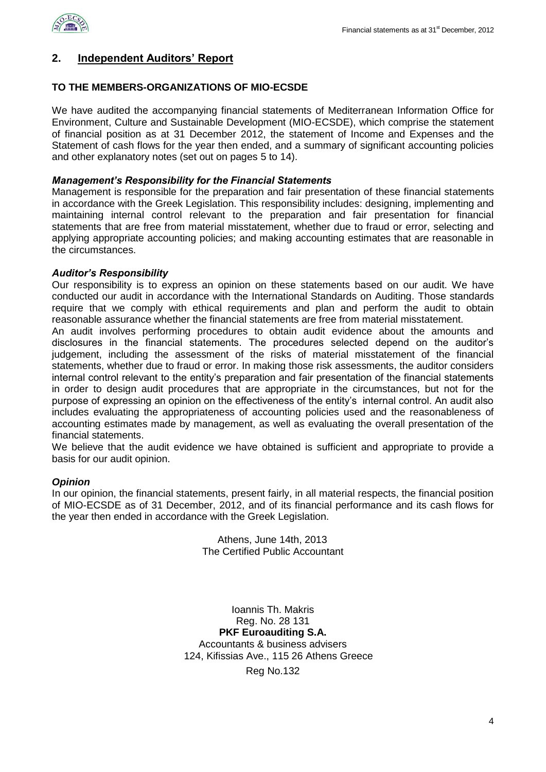

#### <span id="page-3-0"></span>**2. Independent Auditors' Report**

#### **TO THE MEMBERS-ORGANIZATIONS OF MIO-ECSDE**

We have audited the accompanying financial statements of Mediterranean Information Office for Environment, Culture and Sustainable Development (MIO-ECSDE), which comprise the statement of financial position as at 31 December 2012, the statement of Income and Expenses and the Statement of cash flows for the year then ended, and a summary of significant accounting policies and other explanatory notes (set out on pages 5 to 14).

#### *Management's Responsibility for the Financial Statements*

Management is responsible for the preparation and fair presentation of these financial statements in accordance with the Greek Legislation. This responsibility includes: designing, implementing and maintaining internal control relevant to the preparation and fair presentation for financial statements that are free from material misstatement, whether due to fraud or error, selecting and applying appropriate accounting policies; and making accounting estimates that are reasonable in the circumstances.

#### *Auditor's Responsibility*

Our responsibility is to express an opinion on these statements based on our audit. We have conducted our audit in accordance with the International Standards on Auditing. Those standards require that we comply with ethical requirements and plan and perform the audit to obtain reasonable assurance whether the financial statements are free from material misstatement.

An audit involves performing procedures to obtain audit evidence about the amounts and disclosures in the financial statements. The procedures selected depend on the auditor's judgement, including the assessment of the risks of material misstatement of the financial statements, whether due to fraud or error. In making those risk assessments, the auditor considers internal control relevant to the entity's preparation and fair presentation of the financial statements in order to design audit procedures that are appropriate in the circumstances, but not for the purpose of expressing an opinion on the effectiveness of the entity's internal control. An audit also includes evaluating the appropriateness of accounting policies used and the reasonableness of accounting estimates made by management, as well as evaluating the overall presentation of the financial statements.

We believe that the audit evidence we have obtained is sufficient and appropriate to provide a basis for our audit opinion.

#### *Opinion*

In our opinion, the financial statements, present fairly, in all material respects, the financial position of MIO-ECSDE as of 31 December, 2012, and of its financial performance and its cash flows for the year then ended in accordance with the Greek Legislation.

> Athens, June 14th, 2013 The Certified Public Accountant

Ioannis Th. Makris Reg. No. 28 131 **PKF Euroauditing S.A.** Accountants & business advisers 124, Kifissias Ave., 115 26 Athens Greece Reg No.132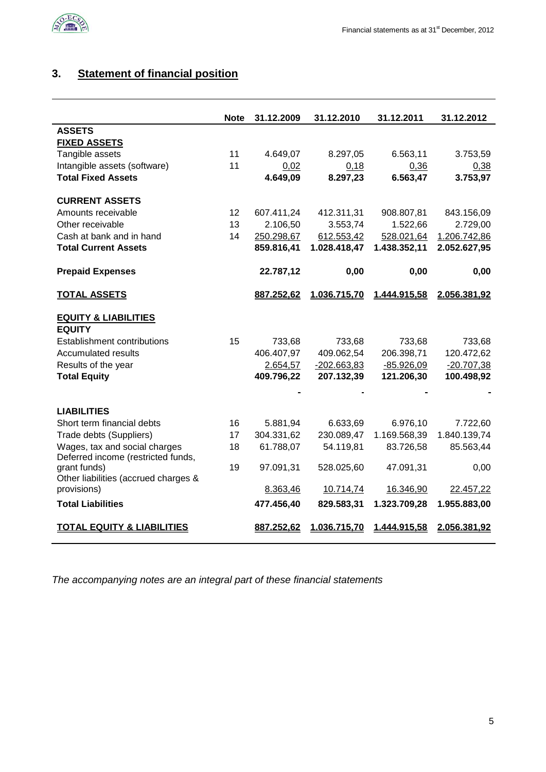

## <span id="page-4-0"></span>**3. Statement of financial position**

|                                       | Note | 31.12.2009 | 31.12.2010    | 31.12.2011   | 31.12.2012   |
|---------------------------------------|------|------------|---------------|--------------|--------------|
| <b>ASSETS</b>                         |      |            |               |              |              |
| <b>FIXED ASSETS</b>                   |      |            |               |              |              |
| Tangible assets                       | 11   | 4.649,07   | 8.297,05      | 6.563,11     | 3.753,59     |
| Intangible assets (software)          | 11   | 0,02       | 0,18          | 0,36         | 0,38         |
| <b>Total Fixed Assets</b>             |      | 4.649,09   | 8.297,23      | 6.563,47     | 3.753,97     |
| <b>CURRENT ASSETS</b>                 |      |            |               |              |              |
| Amounts receivable                    | 12   | 607.411,24 | 412.311,31    | 908.807,81   | 843.156,09   |
| Other receivable                      | 13   | 2.106,50   | 3.553,74      | 1.522,66     | 2.729,00     |
| Cash at bank and in hand              | 14   | 250.298,67 | 612.553,42    | 528.021,64   | 1.206.742,86 |
| <b>Total Current Assets</b>           |      | 859.816,41 | 1.028.418,47  | 1.438.352,11 | 2.052.627,95 |
| <b>Prepaid Expenses</b>               |      | 22.787,12  | 0,00          | 0,00         | 0,00         |
| <u>TOTAL ASSETS</u>                   |      | 887.252,62 | 1.036.715,70  | 1.444.915,58 | 2.056.381,92 |
| <b>EQUITY &amp; LIABILITIES</b>       |      |            |               |              |              |
| <b>EQUITY</b>                         |      |            |               |              |              |
| <b>Establishment contributions</b>    | 15   | 733,68     | 733,68        | 733,68       | 733,68       |
| <b>Accumulated results</b>            |      | 406.407,97 | 409.062,54    | 206.398,71   | 120.472,62   |
| Results of the year                   |      | 2.654,57   | $-202.663,83$ | $-85.926,09$ | $-20.707,38$ |
| <b>Total Equity</b>                   |      | 409.796,22 | 207.132,39    | 121.206,30   | 100.498,92   |
|                                       |      |            |               |              |              |
| <b>LIABILITIES</b>                    |      |            |               |              |              |
| Short term financial debts            | 16   | 5.881,94   | 6.633,69      | 6.976,10     | 7.722,60     |
| Trade debts (Suppliers)               | 17   | 304.331,62 | 230.089,47    | 1.169.568,39 | 1.840.139,74 |
| Wages, tax and social charges         | 18   | 61.788,07  | 54.119,81     | 83.726,58    | 85.563,44    |
| Deferred income (restricted funds,    |      |            |               |              |              |
| grant funds)                          | 19   | 97.091,31  | 528.025,60    | 47.091,31    | 0,00         |
| Other liabilities (accrued charges &  |      |            |               |              |              |
| provisions)                           |      | 8.363,46   | 10.714,74     | 16.346,90    | 22.457,22    |
| <b>Total Liabilities</b>              |      | 477.456,40 | 829.583,31    | 1.323.709,28 | 1.955.883,00 |
| <b>TOTAL EQUITY &amp; LIABILITIES</b> |      | 887.252,62 | 1.036.715,70  | 1.444.915,58 | 2.056.381,92 |

*The accompanying notes are an integral part of these financial statements*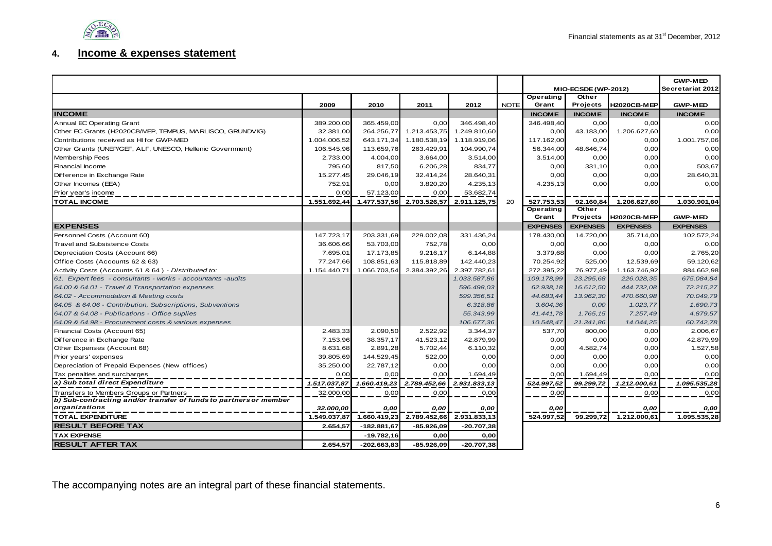

#### **4. Income & expenses statement**

<span id="page-5-0"></span>

|                                                                   |              |               |              |              |             | MIO-ECSDE (WP-2012) |                 | <b>GWP-MED</b><br>Secretariat 2012 |                 |
|-------------------------------------------------------------------|--------------|---------------|--------------|--------------|-------------|---------------------|-----------------|------------------------------------|-----------------|
|                                                                   |              |               |              |              |             | Operating           | Other           |                                    |                 |
|                                                                   | 2009         | 2010          | 2011         | 2012         | <b>NOTE</b> | Grant               | Projects        | <b>H2020CB-MEP</b>                 | <b>GWP-MED</b>  |
| <b>INCOME</b>                                                     |              |               |              |              |             | <b>INCOME</b>       | <b>INCOME</b>   | <b>INCOME</b>                      | <b>INCOME</b>   |
| Annual EC Operating Grant                                         | 389.200,00   | 365.459,00    | 0,00         | 346.498,40   |             | 346.498,40          | 0,00            | 0,00                               | 0,00            |
| Other EC Grants (H2020CB/MEP, TEMPUS, MARLISCO, GRUNDVIG)         | 32.381,00    | 264.256,77    | 1.213.453,75 | 1.249.810,60 |             | 0,00                | 43.183,00       | 1.206.627,60                       | 0,00            |
| Contributions received as HI for GWP-MED                          | 1.004.006,52 | 643.171,34    | 1.180.538,19 | 1.118.919,06 |             | 117.162,00          | 0,00            | 0,00                               | 1.001.757,06    |
| Other Grants (UNEP/GEF, ALF, UNESCO, Hellenic Government)         | 106.545.96   | 113.659.76    | 263.429,91   | 104.990.74   |             | 56.344,00           | 48.646,74       | 0,00                               | 0,00            |
| Membership Fees                                                   | 2.733,00     | 4.004,00      | 3.664,00     | 3.514,00     |             | 3.514,00            | 0,00            | 0,00                               | 0,00            |
| Financial Income                                                  | 795,60       | 817,50        | 6.206,28     | 834,77       |             | 0,00                | 331,10          | 0,00                               | 503,67          |
| Difference in Exchange Rate                                       | 15.277,45    | 29.046,19     | 32.414,24    | 28.640,31    |             | 0,00                | 0,00            | 0,00                               | 28.640,31       |
| Other Incomes (EEA)                                               | 752,91       | 0.00          | 3.820,20     | 4.235,13     |             | 4.235,13            | 0,00            | 0,00                               | 0,00            |
| Prior year's income                                               | 0.00         | 57.123.00     | 0.00         | 53.682,74    |             |                     |                 |                                    |                 |
| <b>TOTAL INCOME</b>                                               | 1.551.692,44 | 1.477.537,56  | 2.703.526,57 | 2.911.125,75 | 20          | 527.753,53          | 92.160,84       | 1.206.627,60                       | 1.030.901,04    |
|                                                                   |              |               |              |              |             | Operating           | Other           |                                    |                 |
|                                                                   |              |               |              |              |             | Grant               | Projects        | <b>H2020CB-MEP</b>                 | <b>GWP-MED</b>  |
| <b>EXPENSES</b>                                                   |              |               |              |              |             | <b>EXPENSES</b>     | <b>EXPENSES</b> | <b>EXPENSES</b>                    | <b>EXPENSES</b> |
| Personnel Costs (Account 60)                                      | 147.723,17   | 203.331,69    | 229.002,08   | 331.436,24   |             | 178.430,00          | 14.720,00       | 35.714,00                          | 102.572,24      |
| <b>Travel and Subsistence Costs</b>                               | 36.606,66    | 53.703,00     | 752,78       | 0,00         |             | 0,00                | 0,00            | 0,00                               | 0,00            |
| Depreciation Costs (Account 66)                                   | 7.695,01     | 17.173,85     | 9.216,17     | 6.144,88     |             | 3.379,68            | 0,00            | 0.00                               | 2.765,20        |
| Office Costs (Accounts 62 & 63)                                   | 77.247,66    | 108.851,63    | 115.818,89   | 142.440,23   |             | 70.254,92           | 525,00          | 12.539,69                          | 59.120,62       |
| Activity Costs (Accounts 61 & 64) - Distributed to:               | 1.154.440,71 | 1.066.703.54  | 2.384.392.26 | 2.397.782,61 |             | 272.395,22          | 76.977,49       | 1.163.746,92                       | 884.662,98      |
| 61. Expert fees - consultants - works - accountants - audits      |              |               |              | 1.033.587,86 |             | 109.178,99          | 23.295,68       | 226.028,35                         | 675.084,84      |
| 64.00 & 64.01 - Travel & Transportation expenses                  |              |               |              | 596.498,03   |             | 62.938,18           | 16.612,50       | 444.732,08                         | 72.215,27       |
| 64.02 - Accommodation & Meeting costs                             |              |               |              | 599.356.51   |             | 44.683,44           | 13.962,30       | 470.660,98                         | 70.049,79       |
| 64.05 & 64.06 - Contribution, Subscriptions, Subventions          |              |               |              | 6.318,86     |             | 3.604,36            | O,OO            | 1.023,77                           | 1.690,73        |
| 64.07 & 64.08 - Publications - Office suplies                     |              |               |              | 55.343,99    |             | 41.441.78           | 1.765,15        | 7.257,49                           | 4.879,57        |
| 64.09 & 64.98 - Procurement costs & various expenses              |              |               |              | 106.677,36   |             | 10.548,47           | 21.341,86       | 14.044,25                          | 60.742,78       |
| Financial Costs (Account 65)                                      | 2.483,33     | 2.090,50      | 2.522,92     | 3.344,37     |             | 537,70              | 800,00          | 0,00                               | 2.006,67        |
| Difference in Exchange Rate                                       | 7.153,96     | 38.357.17     | 41.523,12    | 42.879,99    |             | 0,00                | 0,00            | 0,00                               | 42.879,99       |
| Other Expenses (Account 68)                                       | 8.631,68     | 2.891,28      | 5.702,44     | 6.110,32     |             | 0,00                | 4.582,74        | 0,00                               | 1.527,58        |
| Prior years' expenses                                             | 39.805,69    | 144.529,45    | 522,00       | 0,00         |             | 0,00                | 0,00            | 0,00                               | 0,00            |
| Depreciation of Prepaid Expenses (New offices)                    | 35.250,00    | 22.787,12     | 0,00         | 0,00         |             | 0,00                | 0,00            | 0,00                               | 0,00            |
| Tax penalties and surcharges                                      | 0.00         | 0.00          | 0,00         | 1.694,49     |             | 0,00                | 1.694,49        | 0.00                               | 0,00            |
| a) Sub total direct Expenditure                                   | 1.517.037,87 | 1.660.419,23  | 2.789.452,66 | 2.931.833,13 |             | 524.997,52          | 99.299,72       | 1.212.000,61                       | 1.095.535,28    |
| Transfers to Members Groups or Partners                           | 32.000,00    | 0,00          | 0,00         | 0,00         |             | 0,00                |                 | 0,00                               | 0,00            |
| b) Sub-contracting and/or transfer of funds to partners or member |              |               |              |              |             |                     |                 |                                    |                 |
| organizations                                                     | 32.000,00    | 0,00          | 0,00         | 0,00         |             | 0,00                |                 | 0,00                               | 0,00            |
| <b>TOTAL EXPENDITURE</b>                                          | 1.549.037,87 | 1.660.419,23  | 2.789.452,66 | 2.931.833,13 |             | 524.997,52          | 99.299.72       | 1.212.000,61                       | 1.095.535,28    |
| <b>RESULT BEFORE TAX</b>                                          | 2.654,57     | $-182.881.67$ | $-85.926.09$ | $-20.707.38$ |             |                     |                 |                                    |                 |
| <b>TAX EXPENSE</b>                                                |              | $-19.782,16$  | 0,00         | 0,00         |             |                     |                 |                                    |                 |
| <b>RESULT AFTER TAX</b>                                           | 2.654.57     | $-202.663.83$ | $-85.926,09$ | $-20.707,38$ |             |                     |                 |                                    |                 |

The accompanying notes are an integral part of these financial statements.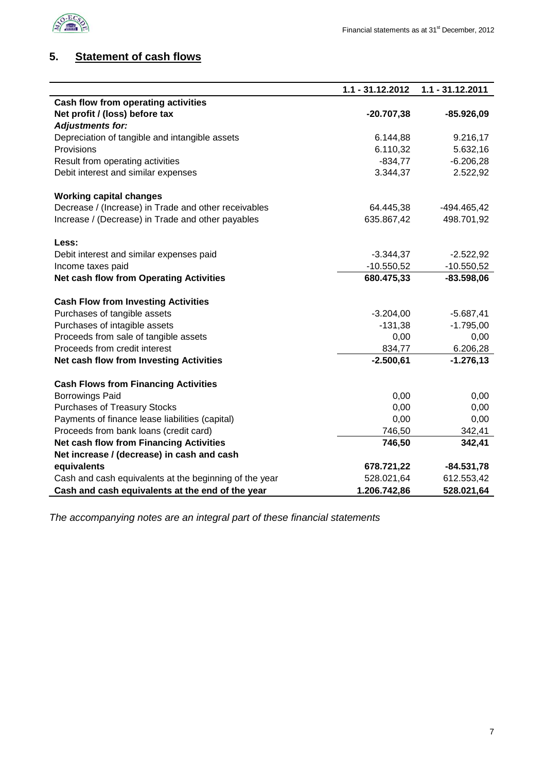

## <span id="page-6-0"></span>**5. Statement of cash flows**

|                                                        | 1.1 - 31.12.2012 | 1.1 - 31.12.2011 |
|--------------------------------------------------------|------------------|------------------|
| <b>Cash flow from operating activities</b>             |                  |                  |
| Net profit / (loss) before tax                         | $-20.707,38$     | $-85.926,09$     |
| <b>Adjustments for:</b>                                |                  |                  |
| Depreciation of tangible and intangible assets         | 6.144,88         | 9.216,17         |
| Provisions                                             | 6.110,32         | 5.632,16         |
| Result from operating activities                       | $-834,77$        | $-6.206,28$      |
| Debit interest and similar expenses                    | 3.344,37         | 2.522,92         |
|                                                        |                  |                  |
| <b>Working capital changes</b>                         |                  |                  |
| Decrease / (Increase) in Trade and other receivables   | 64.445,38        | -494.465,42      |
| Increase / (Decrease) in Trade and other payables      | 635.867,42       | 498.701,92       |
|                                                        |                  |                  |
| Less:                                                  |                  |                  |
| Debit interest and similar expenses paid               | $-3.344,37$      | $-2.522,92$      |
| Income taxes paid                                      | $-10.550,52$     | $-10.550,52$     |
| <b>Net cash flow from Operating Activities</b>         | 680.475,33       | $-83.598,06$     |
|                                                        |                  |                  |
| <b>Cash Flow from Investing Activities</b>             |                  |                  |
| Purchases of tangible assets                           | $-3.204,00$      | $-5.687,41$      |
| Purchases of intagible assets                          | $-131,38$        | $-1.795,00$      |
| Proceeds from sale of tangible assets                  | 0,00             | 0,00             |
| Proceeds from credit interest                          | 834,77           | 6.206,28         |
| Net cash flow from Investing Activities                | $-2.500,61$      | $-1.276, 13$     |
|                                                        |                  |                  |
| <b>Cash Flows from Financing Activities</b>            |                  |                  |
| <b>Borrowings Paid</b>                                 | 0,00             | 0,00             |
| <b>Purchases of Treasury Stocks</b>                    | 0,00             | 0,00             |
| Payments of finance lease liabilities (capital)        | 0,00             | 0,00             |
| Proceeds from bank loans (credit card)                 | 746,50           | 342,41           |
| <b>Net cash flow from Financing Activities</b>         | 746,50           | 342,41           |
| Net increase / (decrease) in cash and cash             |                  |                  |
| equivalents                                            | 678.721,22       | $-84.531,78$     |
| Cash and cash equivalents at the beginning of the year | 528.021,64       | 612.553,42       |
| Cash and cash equivalents at the end of the year       | 1.206.742,86     | 528.021,64       |

*The accompanying notes are an integral part of these financial statements*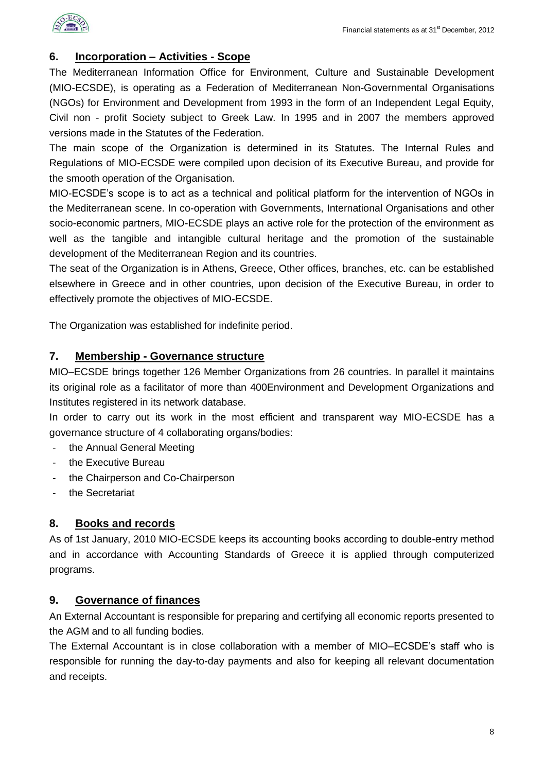

#### <span id="page-7-0"></span>**6. Incorporation – Activities - Scope**

The Mediterranean Information Office for Environment, Culture and Sustainable Development (MIO-ECSDE), is operating as a Federation of Mediterranean Non-Governmental Organisations (NGOs) for Environment and Development from 1993 in the form of an Independent Legal Equity, Civil non - profit Society subject to Greek Law. In 1995 and in 2007 the members approved versions made in the Statutes of the Federation.

The main scope of the Organization is determined in its Statutes. The Internal Rules and Regulations of MIO-ECSDE were compiled upon decision of its Executive Bureau, and provide for the smooth operation of the Organisation.

MIO-ECSDE's scope is to act as a technical and political platform for the intervention of NGOs in the Mediterranean scene. In co-operation with Governments, International Organisations and other socio-economic partners, MIO-ECSDE plays an active role for the protection of the environment as well as the tangible and intangible cultural heritage and the promotion of the sustainable development of the Mediterranean Region and its countries.

The seat of the Organization is in Athens, Greece, Other offices, branches, etc. can be established elsewhere in Greece and in other countries, upon decision of the Executive Bureau, in order to effectively promote the objectives of MIO-ECSDE.

The Organization was established for indefinite period.

#### <span id="page-7-1"></span>**7. Membership - Governance structure**

MIO–ECSDE brings together 126 Member Organizations from 26 countries. In parallel it maintains its original role as a facilitator of more than 400Environment and Development Organizations and Institutes registered in its network database.

In order to carry out its work in the most efficient and transparent way MIO-ECSDE has a governance structure of 4 collaborating organs/bodies:

- the Annual General Meeting
- the Executive Bureau
- the Chairperson and Co-Chairperson
- the Secretariat

#### <span id="page-7-2"></span>**8. Books and records**

As of 1st January, 2010 MIO-ECSDE keeps its accounting books according to double-entry method and in accordance with Accounting Standards of Greece it is applied through computerized programs.

#### <span id="page-7-3"></span>**9. Governance of finances**

An External Accountant is responsible for preparing and certifying all economic reports presented to the AGM and to all funding bodies.

The External Accountant is in close collaboration with a member of MIO–ECSDE's staff who is responsible for running the day-to-day payments and also for keeping all relevant documentation and receipts.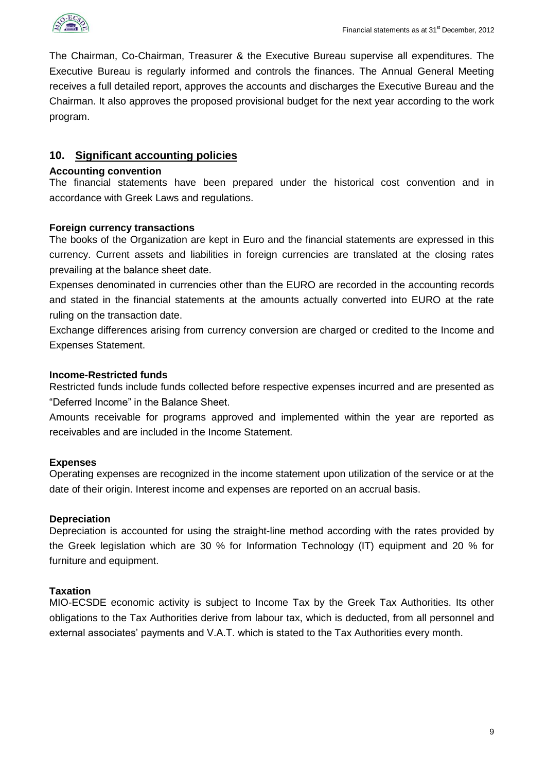

The Chairman, Co-Chairman, Treasurer & the Executive Bureau supervise all expenditures. The Executive Bureau is regularly informed and controls the finances. The Annual General Meeting receives a full detailed report, approves the accounts and discharges the Executive Bureau and the Chairman. It also approves the proposed provisional budget for the next year according to the work program.

#### <span id="page-8-0"></span>**10. Significant accounting policies**

#### **Accounting convention**

The financial statements have been prepared under the historical cost convention and in accordance with Greek Laws and regulations.

#### **Foreign currency transactions**

The books of the Organization are kept in Euro and the financial statements are expressed in this currency. Current assets and liabilities in foreign currencies are translated at the closing rates prevailing at the balance sheet date.

Expenses denominated in currencies other than the EURO are recorded in the accounting records and stated in the financial statements at the amounts actually converted into EURO at the rate ruling on the transaction date.

Exchange differences arising from currency conversion are charged or credited to the Income and Expenses Statement.

#### **Income-Restricted funds**

Restricted funds include funds collected before respective expenses incurred and are presented as "Deferred Income" in the Balance Sheet.

Amounts receivable for programs approved and implemented within the year are reported as receivables and are included in the Income Statement.

#### **Expenses**

Operating expenses are recognized in the income statement upon utilization of the service or at the date of their origin. Interest income and expenses are reported on an accrual basis.

#### **Depreciation**

Depreciation is accounted for using the straight-line method according with the rates provided by the Greek legislation which are 30 % for Information Technology (IT) equipment and 20 % for furniture and equipment.

#### **Taxation**

MIO-ECSDE economic activity is subject to Income Tax by the Greek Tax Authorities. Its other obligations to the Tax Authorities derive from labour tax, which is deducted, from all personnel and external associates' payments and V.A.T. which is stated to the Tax Authorities every month.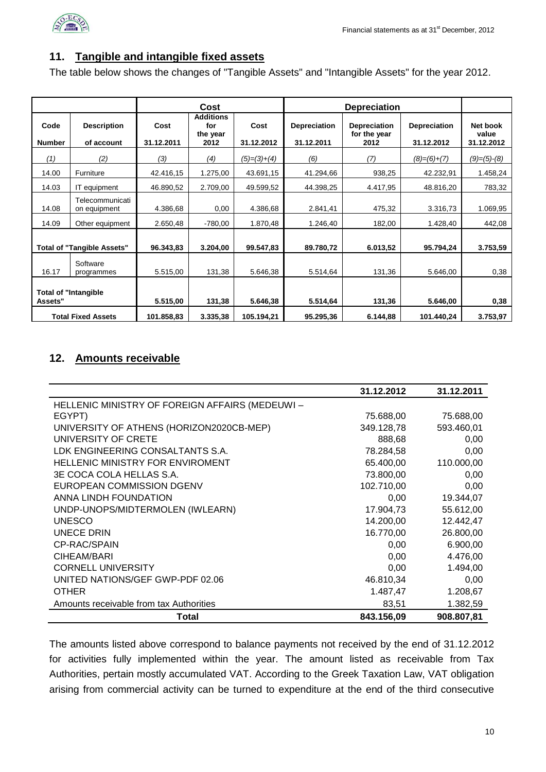

#### <span id="page-9-0"></span>**11. Tangible and intangible fixed assets**

The table below shows the changes of "Tangible Assets" and "Intangible Assets" for the year 2012.

|                                        |                                  |                    | Cost                                        |                    |                            | <b>Depreciation</b>                         |                                   |                                 |
|----------------------------------------|----------------------------------|--------------------|---------------------------------------------|--------------------|----------------------------|---------------------------------------------|-----------------------------------|---------------------------------|
| Code<br><b>Number</b>                  | <b>Description</b><br>of account | Cost<br>31.12.2011 | <b>Additions</b><br>for<br>the year<br>2012 | Cost<br>31.12.2012 | Depreciation<br>31.12.2011 | <b>Depreciation</b><br>for the year<br>2012 | <b>Depreciation</b><br>31.12.2012 | Net book<br>value<br>31.12.2012 |
| (1)                                    | (2)                              | (3)                | (4)                                         | $(5)=(3)+(4)$      | (6)                        | (7)                                         | $(8)=(6)+(7)$                     | $(9)=(5)-(8)$                   |
| 14.00                                  | Furniture                        | 42.416,15          | 1.275,00                                    | 43.691,15          | 41.294,66                  | 938,25                                      | 42.232,91                         | 1.458,24                        |
| 14.03                                  | IT equipment                     | 46.890,52          | 2.709,00                                    | 49.599,52          | 44.398,25                  | 4.417,95                                    | 48.816,20                         | 783,32                          |
| 14.08                                  | Telecommunicati<br>on equipment  | 4.386,68           | 0,00                                        | 4.386,68           | 2.841,41                   | 475,32                                      | 3.316,73                          | 1.069,95                        |
| 14.09                                  | Other equipment                  | 2.650,48           | $-780,00$                                   | 1.870,48           | 1.246,40                   | 182,00                                      | 1.428,40                          | 442,08                          |
| <b>Total of "Tangible Assets"</b>      |                                  | 96.343,83          | 3.204,00                                    | 99.547,83          | 89.780,72                  | 6.013,52                                    | 95.794,24                         | 3.753,59                        |
| 16.17                                  | Software<br>programmes           | 5.515,00           | 131,38                                      | 5.646,38           | 5.514,64                   | 131,36                                      | 5.646,00                          | 0,38                            |
| <b>Total of "Intangible</b><br>Assets" |                                  | 5.515,00           | 131,38                                      | 5.646,38           | 5.514,64                   | 131,36                                      | 5.646,00                          | 0,38                            |
|                                        | <b>Total Fixed Assets</b>        | 101.858,83         | 3.335,38                                    | 105.194,21         | 95.295.36                  | 6.144,88                                    | 101.440,24                        | 3.753,97                        |

#### <span id="page-9-1"></span>**12. Amounts receivable**

|                                                | 31.12.2012 | 31.12.2011 |
|------------------------------------------------|------------|------------|
| HELLENIC MINISTRY OF FOREIGN AFFAIRS (MEDEUWI- |            |            |
| EGYPT)                                         | 75.688,00  | 75.688,00  |
| UNIVERSITY OF ATHENS (HORIZON2020CB-MEP)       | 349.128,78 | 593.460,01 |
| UNIVERSITY OF CRETE                            | 888,68     | 0,00       |
| LDK ENGINEERING CONSALTANTS S.A.               | 78.284,58  | 0,00       |
| <b>HELLENIC MINISTRY FOR ENVIROMENT</b>        | 65.400,00  | 110.000,00 |
| 3E COCA COLA HELLAS S.A.                       | 73.800,00  | 0,00       |
| EUROPEAN COMMISSION DGENV                      | 102.710,00 | 0,00       |
| ANNA LINDH FOUNDATION                          | 0,00       | 19.344,07  |
| UNDP-UNOPS/MIDTERMOLEN (IWLEARN)               | 17.904,73  | 55.612,00  |
| <b>UNESCO</b>                                  | 14.200,00  | 12.442,47  |
| UNECE DRIN                                     | 16.770,00  | 26.800,00  |
| CP-RAC/SPAIN                                   | 0.00       | 6.900,00   |
| CIHEAM/BARI                                    | 0,00       | 4.476,00   |
| <b>CORNELL UNIVERSITY</b>                      | 0,00       | 1.494,00   |
| UNITED NATIONS/GEF GWP-PDF 02.06               | 46.810,34  | 0,00       |
| <b>OTHER</b>                                   | 1.487,47   | 1.208,67   |
| Amounts receivable from tax Authorities        | 83,51      | 1.382,59   |
| Total                                          | 843.156,09 | 908.807,81 |

The amounts listed above correspond to balance payments not received by the end of 31.12.2012 for activities fully implemented within the year. The amount listed as receivable from Tax Authorities, pertain mostly accumulated VAT. According to the Greek Taxation Law, VAT obligation arising from commercial activity can be turned to expenditure at the end of the third consecutive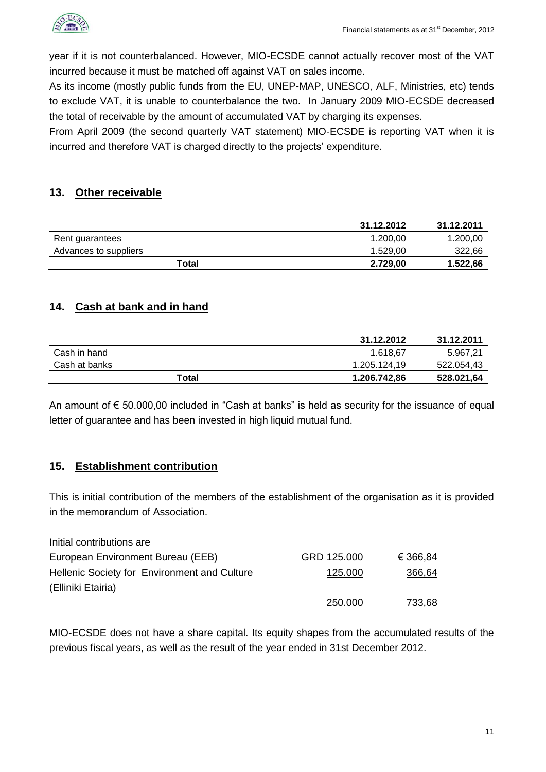

year if it is not counterbalanced. However, MIO-ECSDE cannot actually recover most of the VAT incurred because it must be matched off against VAT on sales income.

As its income (mostly public funds from the EU, UNEP-MAP, UNESCO, ALF, Ministries, etc) tends to exclude VAT, it is unable to counterbalance the two. In January 2009 MIO-ECSDE decreased the total of receivable by the amount of accumulated VAT by charging its expenses.

From April 2009 (the second quarterly VAT statement) MIO-ECSDE is reporting VAT when it is incurred and therefore VAT is charged directly to the projects' expenditure.

## <span id="page-10-0"></span>**13. Other receivable**

|                       | 31.12.2012 | 31.12.2011 |
|-----------------------|------------|------------|
| Rent guarantees       | 1.200.00   | 1.200,00   |
| Advances to suppliers | 1.529.00   | 322,66     |
| Total                 | 2.729,00   | 1.522,66   |

## <span id="page-10-1"></span>**14. Cash at bank and in hand**

|               | 31.12.2012   | 31.12.2011 |
|---------------|--------------|------------|
| Cash in hand  | 1.618.67     | 5.967,21   |
| Cash at banks | 1.205.124.19 | 522.054.43 |
| Total         | 1.206.742,86 | 528.021,64 |

An amount of € 50.000,00 included in "Cash at banks" is held as security for the issuance of equal letter of guarantee and has been invested in high liquid mutual fund.

### <span id="page-10-2"></span>**15. Establishment contribution**

This is initial contribution of the members of the establishment of the organisation as it is provided in the memorandum of Association.

| Initial contributions are                    |             |               |
|----------------------------------------------|-------------|---------------|
| European Environment Bureau (EEB)            | GRD 125.000 | € 366,84      |
| Hellenic Society for Environment and Culture | 125.000     | 366,64        |
| (Elliniki Etairia)                           |             |               |
|                                              | 250,000     | <u>733.68</u> |

MIO-ECSDE does not have a share capital. Its equity shapes from the accumulated results of the previous fiscal years, as well as the result of the year ended in 31st December 2012.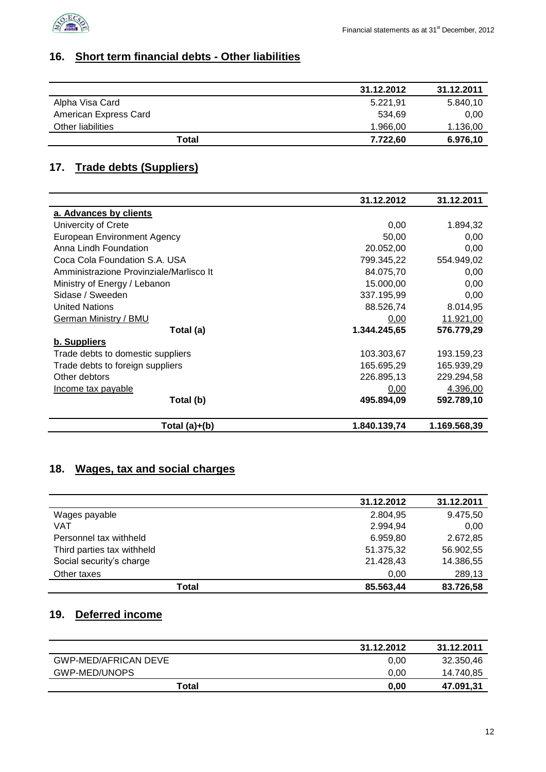

## <span id="page-11-0"></span>**16. Short term financial debts - Other liabilities**

|                       | 31.12.2012 | 31.12.2011 |
|-----------------------|------------|------------|
| Alpha Visa Card       | 5.221.91   | 5.840,10   |
| American Express Card | 534.69     | 0.00       |
| Other liabilities     | 1.966.00   | 1.136,00   |
| Total                 | 7.722,60   | 6.976,10   |

## <span id="page-11-1"></span>**17. Trade debts (Suppliers)**

|                                         | 31.12.2012   | 31.12.2011   |
|-----------------------------------------|--------------|--------------|
| a. Advances by clients                  |              |              |
| Univercity of Crete                     | 0,00         | 1.894,32     |
| <b>European Environment Agency</b>      | 50,00        | 0,00         |
| Anna Lindh Foundation                   | 20.052,00    | 0,00         |
| Coca Cola Foundation S.A. USA           | 799.345,22   | 554.949,02   |
| Amministrazione Provinziale/Marlisco It | 84.075,70    | 0,00         |
| Ministry of Energy / Lebanon            | 15.000,00    | 0,00         |
| Sidase / Sweeden                        | 337.195,99   | 0,00         |
| <b>United Nations</b>                   | 88.526,74    | 8.014,95     |
| German Ministry / BMU                   | 0,00         | 11.921,00    |
| Total (a)                               | 1.344.245,65 | 576.779,29   |
| b. Suppliers                            |              |              |
| Trade debts to domestic suppliers       | 103.303,67   | 193.159,23   |
| Trade debts to foreign suppliers        | 165.695,29   | 165.939,29   |
| Other debtors                           | 226.895,13   | 229.294,58   |
| Income tax payable                      | 0,00         | 4.396,00     |
| Total (b)                               | 495.894,09   | 592.789,10   |
| Total $(a)+(b)$                         | 1.840.139,74 | 1.169.568,39 |

## <span id="page-11-2"></span>**18. Wages, tax and social charges**

|                            | 31.12.2012 | 31.12.2011 |
|----------------------------|------------|------------|
| Wages payable              | 2.804,95   | 9.475,50   |
| <b>VAT</b>                 | 2.994,94   | 0,00       |
| Personnel tax withheld     | 6.959,80   | 2.672,85   |
| Third parties tax withheld | 51.375,32  | 56.902,55  |
| Social security's charge   | 21.428,43  | 14.386,55  |
| Other taxes                | 0,00       | 289,13     |
| Total                      | 85.563,44  | 83.726,58  |

## <span id="page-11-3"></span>**19. Deferred income**

|                      | 31.12.2012 | 31.12.2011 |
|----------------------|------------|------------|
| GWP-MED/AFRICAN DEVE | 0.00       | 32.350,46  |
| GWP-MED/UNOPS        | 0.00       | 14.740,85  |
| Total                | 0.00       | 47.091.31  |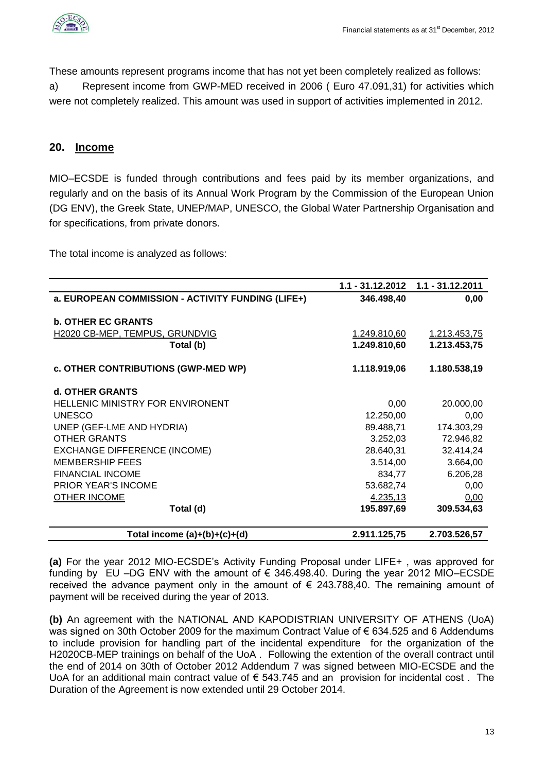

These amounts represent programs income that has not yet been completely realized as follows: a) Represent income from GWP-MED received in 2006 ( Euro 47.091,31) for activities which were not completely realized. This amount was used in support of activities implemented in 2012.

#### <span id="page-12-0"></span>**20. Income**

MIO–ECSDE is funded through contributions and fees paid by its member organizations, and regularly and on the basis of its Annual Work Program by the Commission of the European Union (DG ENV), the Greek State, UNEP/MAP, UNESCO, the Global Water Partnership Organisation and for specifications, from private donors.

The total income is analyzed as follows:

|                                                   |              | $1.1 - 31.12.2012$ $1.1 - 31.12.2011$ |
|---------------------------------------------------|--------------|---------------------------------------|
| a. EUROPEAN COMMISSION - ACTIVITY FUNDING (LIFE+) | 346.498,40   | 0,00                                  |
|                                                   |              |                                       |
| <b>b. OTHER EC GRANTS</b>                         |              |                                       |
| H2020 CB-MEP, TEMPUS, GRUNDVIG                    | 1.249.810,60 | 1.213.453,75                          |
| Total (b)                                         | 1.249.810,60 | 1.213.453,75                          |
| c. OTHER CONTRIBUTIONS (GWP-MED WP)               | 1.118.919,06 | 1.180.538,19                          |
| d. OTHER GRANTS                                   |              |                                       |
| <b>HELLENIC MINISTRY FOR ENVIRONENT</b>           | 0,00         | 20.000,00                             |
| <b>UNESCO</b>                                     | 12.250,00    | 0,00                                  |
| UNEP (GEF-LME AND HYDRIA)                         | 89.488,71    | 174.303,29                            |
| <b>OTHER GRANTS</b>                               | 3.252,03     | 72.946,82                             |
| <b>EXCHANGE DIFFERENCE (INCOME)</b>               | 28.640,31    | 32.414,24                             |
| <b>MEMBERSHIP FEES</b>                            | 3.514,00     | 3.664,00                              |
| <b>FINANCIAL INCOME</b>                           | 834,77       | 6.206,28                              |
| <b>PRIOR YEAR'S INCOME</b>                        | 53.682,74    | 0,00                                  |
| <b>OTHER INCOME</b>                               | 4.235,13     | 0,00                                  |
| Total (d)                                         | 195.897,69   | 309.534,63                            |
| Total income $(a)+(b)+(c)+(d)$                    | 2.911.125,75 | 2.703.526,57                          |

**(a)** For the year 2012 MIO-ECSDE's Activity Funding Proposal under LIFE+ , was approved for funding by EU –DG ENV with the amount of  $\epsilon$  346.498.40. During the year 2012 MIO–ECSDE received the advance payment only in the amount of  $\epsilon$  243.788,40. The remaining amount of payment will be received during the year of 2013.

**(b)** An agreement with the NATIONAL AND KAPODISTRIAN UNIVERSITY OF ATHENS (UoA) was signed on 30th October 2009 for the maximum Contract Value of € 634.525 and 6 Addendums to include provision for handling part of the incidental expenditure for the organization of the H2020CB-MEP trainings on behalf of the UoA . Following the extention of the overall contract until the end of 2014 on 30th of October 2012 Addendum 7 was signed between MIO-ECSDE and the UoA for an additional main contract value of € 543.745 and an provision for incidental cost. The Duration of the Agreement is now extended until 29 October 2014.